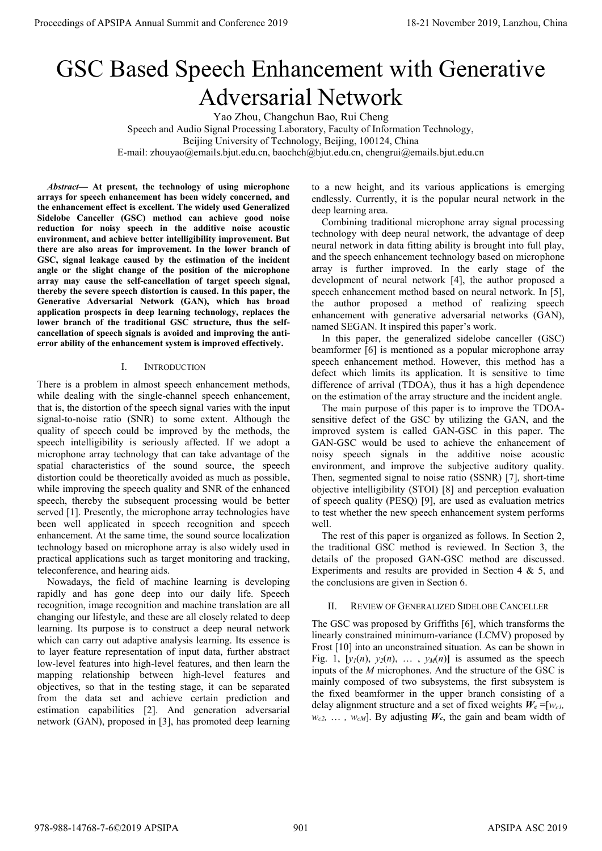# GSC Based Speech Enhancement with Generative Adversarial Network

Yao Zhou, Changchun Bao, Rui Cheng

Speech and Audio Signal Processing Laboratory, Faculty of Information Technology,

Beijing University of Technology, Beijing, 100124, China

E-mail: zhouyao@emails.bjut.edu.cn, baochch@bjut.edu.cn, chengrui@emails.bjut.edu.cn

*Abstract***— At present, the technology of using microphone arrays for speech enhancement has been widely concerned, and the enhancement effect is excellent. The widely used Generalized Sidelobe Canceller (GSC) method can achieve good noise reduction for noisy speech in the additive noise acoustic environment, and achieve better intelligibility improvement. But there are also areas for improvement. In the lower branch of GSC, signal leakage caused by the estimation of the incident angle or the slight change of the position of the microphone array may cause the self-cancellation of target speech signal, thereby the severe speech distortion is caused. In this paper, the Generative Adversarial Network (GAN), which has broad application prospects in deep learning technology, replaces the lower branch of the traditional GSC structure, thus the selfcancellation of speech signals is avoided and improving the antierror ability of the enhancement system is improved effectively.**

# I. INTRODUCTION

There is a problem in almost speech enhancement methods, while dealing with the single-channel speech enhancement, that is, the distortion of the speech signal varies with the input signal-to-noise ratio (SNR) to some extent. Although the quality of speech could be improved by the methods, the speech intelligibility is seriously affected. If we adopt a microphone array technology that can take advantage of the spatial characteristics of the sound source, the speech distortion could be theoretically avoided as much as possible, while improving the speech quality and SNR of the enhanced speech, thereby the subsequent processing would be better served [1]. Presently, the microphone array technologies have been well applicated in speech recognition and speech enhancement. At the same time, the sound source localization technology based on microphone array is also widely used in practical applications such as target monitoring and tracking, teleconference, and hearing aids. Proceedings of APSIPA Annual Summit and Conference 2019<br>
GSCC Bassed Species 2019<br>
GAVES and Conference 2019<br>
View Books, China 978-988-14768-7-602 November 2019<br>
View Books, China 978-988-14768-7-6, and Ascente 2019<br>
Vie

Nowadays, the field of machine learning is developing rapidly and has gone deep into our daily life. Speech recognition, image recognition and machine translation are all changing our lifestyle, and these are all closely related to deep learning. Its purpose is to construct a deep neural network which can carry out adaptive analysis learning. Its essence is to layer feature representation of input data, further abstract low-level features into high-level features, and then learn the mapping relationship between high-level features and objectives, so that in the testing stage, it can be separated from the data set and achieve certain prediction and estimation capabilities [2]. And generation adversarial network (GAN), proposed in [3], has promoted deep learning to a new height, and its various applications is emerging endlessly. Currently, it is the popular neural network in the deep learning area.

Combining traditional microphone array signal processing technology with deep neural network, the advantage of deep neural network in data fitting ability is brought into full play, and the speech enhancement technology based on microphone array is further improved. In the early stage of the development of neural network [4], the author proposed a speech enhancement method based on neural network. In [5], the author proposed a method of realizing speech enhancement with generative adversarial networks (GAN), named SEGAN. It inspired this paper's work.

In this paper, the generalized sidelobe canceller (GSC) beamformer [6] is mentioned as a popular microphone array speech enhancement method. However, this method has a defect which limits its application. It is sensitive to time difference of arrival (TDOA), thus it has a high dependence on the estimation of the array structure and the incident angle.

The main purpose of this paper is to improve the TDOAsensitive defect of the GSC by utilizing the GAN, and the improved system is called GAN-GSC in this paper. The GAN-GSC would be used to achieve the enhancement of noisy speech signals in the additive noise acoustic environment, and improve the subjective auditory quality. Then, segmented signal to noise ratio (SSNR) [7], short-time objective intelligibility (STOI) [8] and perception evaluation of speech quality (PESQ) [9], are used as evaluation metrics to test whether the new speech enhancement system performs well.

The rest of this paper is organized as follows. In Section 2, the traditional GSC method is reviewed. In Section 3, the details of the proposed GAN-GSC method are discussed. Experiments and results are provided in Section 4 & 5, and the conclusions are given in Section 6.

# II. REVIEW OF GENERALIZED SIDELOBE CANCELLER

The GSC was proposed by Griffiths [6], which transforms the linearly constrained minimum-variance (LCMV) proposed by Frost [10] into an unconstrained situation. As can be shown in Fig. 1,  $[y_1(n), y_2(n), \ldots, y_M(n)]$  is assumed as the speech inputs of the *M* microphones. And the structure of the GSC is mainly composed of two subsystems, the first subsystem is the fixed beamformer in the upper branch consisting of a delay alignment structure and a set of fixed weights  $W_c = [w_c]$ ,  $w_{c2}$ , ...,  $w_{cM}$ ]. By adjusting  $W_c$ , the gain and beam width of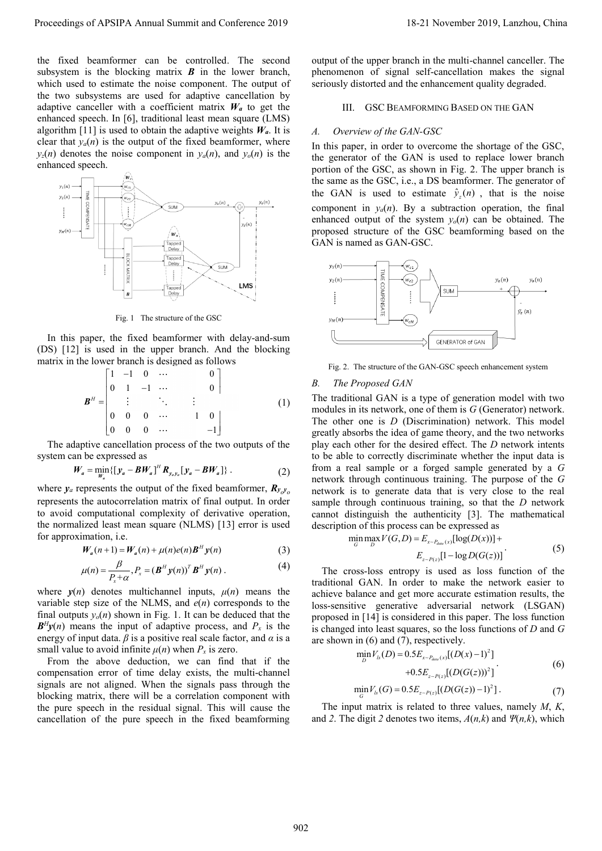the fixed beamformer can be controlled. The second subsystem is the blocking matrix *B* in the lower branch, which used to estimate the noise component. The output of the two subsystems are used for adaptive cancellation by adaptive canceller with a coefficient matrix  $W_a$  to get the enhanced speech. In [6], traditional least mean square (LMS) algorithm [11] is used to obtain the adaptive weights  $W_a$ . It is clear that  $y_a(n)$  is the output of the fixed beamformer, where  $y_z(n)$  denotes the noise component in  $y_a(n)$ , and  $y_o(n)$  is the enhanced speech.



Fig. 1 The structure of the GSC

In this paper, the fixed beamformer with delay-and-sum (DS) [12] is used in the upper branch. And the blocking matrix in the lower branch is designed as follows<br>  $\begin{bmatrix} 1 & -1 & 0 & \cdots & 0 \end{bmatrix}$ 

$$
\mathbf{B}^H = \begin{bmatrix} 1 & -1 & 0 & \cdots & & & 0 \\ 0 & 1 & -1 & \cdots & & & 0 \\ \vdots & & \ddots & & \vdots & & & \\ 0 & 0 & 0 & \cdots & & 1 & 0 \\ 0 & 0 & 0 & \cdots & & & -1 \end{bmatrix}
$$
 (1)

The adaptive cancellation process of the two outputs of the

system can be expressed as  
\n
$$
W_a = \min_{W_a} \{ [y_a - BW_a]^H R_{y_a y_b} [y_a - BW_a] \}.
$$
\n(2)

where  $y_a$  represents the output of the fixed beamformer,  $R_{y_o y_o}$ represents the autocorrelation matrix of final output. In order to avoid computational complexity of derivative operation, the normalized least mean square (NLMS) [13] error is used for approximation, i.e.

$$
W_a(n+1) = W_a(n) + \mu(n)e(n)B^H y(n)
$$
 (3)

$$
\mu(n) = \frac{\beta}{P_x + \alpha}, P_x = (\boldsymbol{B}^H \boldsymbol{y}(n))^T \boldsymbol{B}^H \boldsymbol{y}(n) .
$$
 (4)

where  $y(n)$  denotes multichannel inputs,  $\mu(n)$  means the variable step size of the NLMS, and *e*(*n*) corresponds to the final outputs  $y_o(n)$  shown in Fig. 1. It can be deduced that the  $B<sup>H</sup>y(n)$  means the input of adaptive process, and  $P<sub>x</sub>$  is the energy of input data.  $\beta$  is a positive real scale factor, and  $\alpha$  is a small value to avoid infinite  $\mu(n)$  when  $P_x$  is zero.

From the above deduction, we can find that if the compensation error of time delay exists, the multi-channel signals are not aligned. When the signals pass through the blocking matrix, there will be a correlation component with the pure speech in the residual signal. This will cause the cancellation of the pure speech in the fixed beamforming output of the upper branch in the multi-channel canceller. The phenomenon of signal self-cancellation makes the signal seriously distorted and the enhancement quality degraded.

#### III. GSC BEAMFORMING BASED ON THE GAN

#### *A. Overview of the GAN-GSC*

In this paper, in order to overcome the shortage of the GSC, the generator of the GAN is used to replace lower branch portion of the GSC, as shown in Fig. 2. The upper branch is the same as the GSC, i.e., a DS beamformer. The generator of the GAN is used to estimate  $\hat{y}_z(n)$ , that is the noise component in  $y_a(n)$ . By a subtraction operation, the final enhanced output of the system  $y<sub>o</sub>(n)$  can be obtained. The proposed structure of the GSC beamforming based on the GAN is named as GAN-GSC.



Fig. 2. The structure of the GAN-GSC speech enhancement system

#### *B. The Proposed GAN*

The traditional GAN is a type of generation model with two modules in its network, one of them is *G* (Generator) network. The other one is *D* (Discrimination) network. This model greatly absorbs the idea of game theory, and the two networks play each other for the desired effect. The *D* network intents to be able to correctly discriminate whether the input data is from a real sample or a forged sample generated by a *G* network through continuous training. The purpose of the *G* network is to generate data that is very close to the real sample through continuous training, so that the *D* network cannot distinguish the authenticity [3]. The mathematical Proceeding of APSIPA Annual Summit and Conference 2019)<br>
Its Conference 2019 and Conference 2019 and Conference 2019 and Conference 2019 and Conference 2019 and Conference 2019<br>
Its Conference 2019 and Conference 2019 and

description of this process can be expressed as  
\n
$$
\min_{G} \max_{D} V(G, D) = E_{x \sim P_{data}(x)} [\log(D(x))] +
$$
\n
$$
E_{z \sim P(z)} [1 - \log D(G(z))]
$$
\n(5)

The cross-loss entropy is used as loss function of the traditional GAN. In order to make the network easier to achieve balance and get more accurate estimation results, the loss-sensitive generative adversarial network (LSGAN) proposed in [14] is considered in this paper. The loss function is changed into least squares, so the loss functions of *D* and *G*  are shown in (6) and (7), respectively.<br>  $\min_{\mathbf{m}} V_{ls}(D) = 0.5 E_{x \sim P_{data}(x)} [(D(x) - 1)^2]$ 

$$
\min_{D} V_{ls}(D) = 0.5 E_{x \sim P_{data}(x)} [(D(x) - 1)^{2}]
$$
  
+0.5 E\_{z \sim P(z)} [(D(G(z)))^{2}]. (6)

$$
\min_{G} V_{ls}(G) = 0.5 E_{z \sim P(z)} [(D(G(z)) - 1)^{2}]. \tag{7}
$$

The input matrix is related to three values, namely *M*, *K*, and 2. The digit 2 denotes two items,  $A(n, k)$  and  $\Psi(n, k)$ , which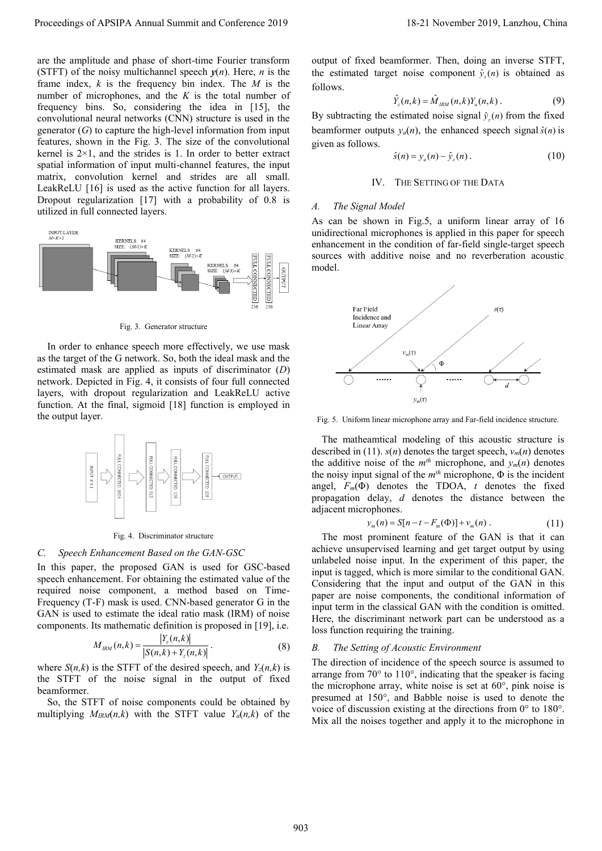are the amplitude and phase of short-time Fourier transform (STFT) of the noisy multichannel speech  $y(n)$ . Here, *n* is the frame index, *k* is the frequency bin index. The *M* is the number of microphones, and the *K* is the total number of frequency bins. So, considering the idea in [15], the convolutional neural networks (CNN) structure is used in the generator (*G*) to capture the high-level information from input features, shown in the Fig. 3. The size of the convolutional kernel is  $2 \times 1$ , and the strides is 1. In order to better extract spatial information of input multi-channel features, the input matrix, convolution kernel and strides are all small. LeakReLU [16] is used as the active function for all layers. Dropout regularization [17] with a probability of 0.8 is utilized in full connected layers. Proceedings of APSIPA Annual Summit and Conference 2019<br>
Surveye of APSIPA Annual Summit and Conference 2019<br>
Distribution of the Conference 2019<br>
Distribution of the Conference 2019<br>
Distribution of the Conference 2019<br>



Fig. 3. Generator structure

In order to enhance speech more effectively, we use mask as the target of the G network. So, both the ideal mask and the estimated mask are applied as inputs of discriminator (*D*) network. Depicted in Fig. 4, it consists of four full connected layers, with dropout regularization and LeakReLU active function. At the final, sigmoid [18] function is employed in the output layer.



Fig. 4. Discriminator structure

#### *C. Speech Enhancement Based on the GAN-GSC*

In this paper, the proposed GAN is used for GSC-based speech enhancement. For obtaining the estimated value of the required noise component, a method based on Time-Frequency (T-F) mask is used. CNN-based generator G in the GAN is used to estimate the ideal ratio mask (IRM) of noise components. Its mathematic definition is proposed in [19], i.e.

$$
M_{\scriptscriptstyle{IRM}}(n,k) = \frac{|Y_z(n,k)|}{|S(n,k) + Y_z(n,k)|}.
$$
 (8)

where  $S(n,k)$  is the STFT of the desired speech, and  $Y_z(n,k)$  is the STFT of the noise signal in the output of fixed beamformer.

So, the STFT of noise components could be obtained by multiplying  $M_{IRM}(n,k)$  with the STFT value  $Y_a(n,k)$  of the output of fixed beamformer. Then, doing an inverse STFT, the estimated target noise component  $\hat{y}_z(n)$  is obtained as follows.

$$
\hat{Y}_z(n,k) = \hat{M}_{RM}(n,k)Y_a(n,k) \,. \tag{9}
$$

By subtracting the estimated noise signal  $\hat{y}_z(n)$  from the fixed beamformer outputs  $y_a(n)$ , the enhanced speech signal  $\hat{s}(n)$  is given as follows.

$$
\hat{s}(n) = y_a(n) - \hat{y}_z(n) \,. \tag{10}
$$

## IV. THE SETTING OF THE DATA

#### *A. The Signal Model*

As can be shown in Fig.5, a uniform linear array of 16 unidirectional microphones is applied in this paper for speech enhancement in the condition of far-field single-target speech sources with additive noise and no reverberation acoustic model.



Fig. 5. Uniform linear microphone array and Far-field incidence structure.

The matheamtical modeling of this acoustic structure is described in (11).  $s(n)$  denotes the target speech,  $v_m(n)$  denotes the additive noise of the  $m^{th}$  microphone, and  $y_m(n)$  denotes the noisy input signal of the *mth* microphone, Φ is the incident angel,  $F_m(\Phi)$  denotes the TDOA, *t* denotes the fixed propagation delay, *d* denotes the distance between the adjacent microphones.

$$
y_m(n) = S[n - t - F_m(\Phi)] + v_m(n).
$$
 (11)

The most prominent feature of the GAN is that it can achieve unsupervised learning and get target output by using unlabeled noise input. In the experiment of this paper, the input is tagged, which is more similar to the conditional GAN. Considering that the input and output of the GAN in this paper are noise components, the conditional information of input term in the classical GAN with the condition is omitted. Here, the discriminant network part can be understood as a loss function requiring the training.

## *B. The Setting of Acoustic Environment*

The direction of incidence of the speech source is assumed to arrange from  $70^{\circ}$  to  $110^{\circ}$ , indicating that the speaker is facing the microphone array, white noise is set at 60°, pink noise is presumed at 150°, and Babble noise is used to denote the voice of discussion existing at the directions from  $0^{\circ}$  to 180°. Mix all the noises together and apply it to the microphone in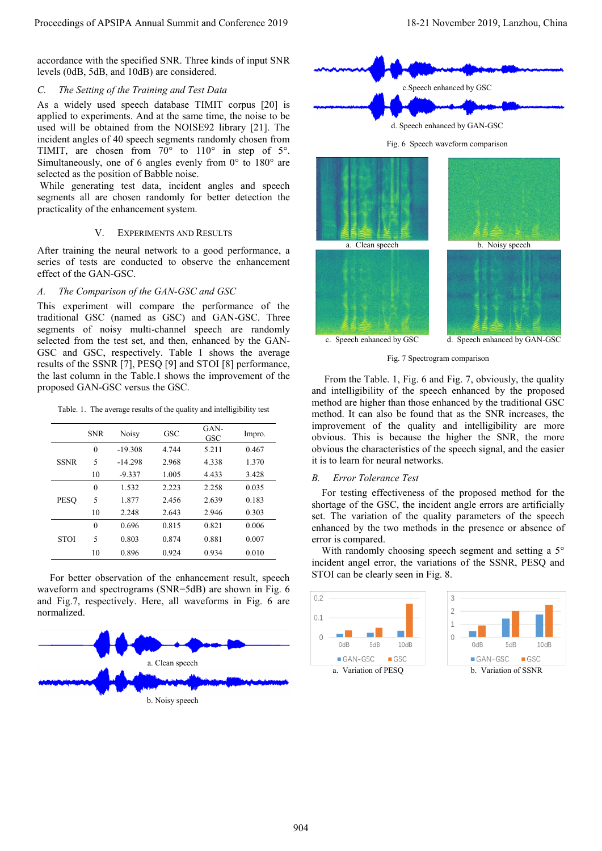accordance with the specified SNR. Three kinds of input SNR levels (0dB, 5dB, and 10dB) are considered.

# *C. The Setting of the Training and Test Data*

As a widely used speech database TIMIT corpus [20] is applied to experiments. And at the same time, the noise to be used will be obtained from the NOISE92 library [21]. The incident angles of 40 speech segments randomly chosen from TIMIT, are chosen from  $70^{\circ}$  to  $110^{\circ}$  in step of  $5^{\circ}$ . Simultaneously, one of 6 angles evenly from  $0^{\circ}$  to  $180^{\circ}$  are selected as the position of Babble noise.

While generating test data, incident angles and speech segments all are chosen randomly for better detection the practicality of the enhancement system.

# V. EXPERIMENTS AND RESULTS

After training the neural network to a good performance, a series of tests are conducted to observe the enhancement effect of the GAN-GSC.

# *A. The Comparison of the GAN-GSC and GSC*

This experiment will compare the performance of the traditional GSC (named as GSC) and GAN-GSC. Three segments of noisy multi-channel speech are randomly selected from the test set, and then, enhanced by the GAN-GSC and GSC, respectively. Table 1 shows the average results of the SSNR [7], PESQ [9] and STOI [8] performance, the last column in the Table.1 shows the improvement of the proposed GAN-GSC versus the GSC.

Table. 1. The average results of the quality and intelligibility test

|             | <b>SNR</b>               | <b>Noisy</b> | GSC   | GAN-<br>GSC | Impro. |
|-------------|--------------------------|--------------|-------|-------------|--------|
| <b>SSNR</b> | $\theta$                 | $-19.308$    | 4.744 | 5.211       | 0.467  |
|             | 5                        | $-14.298$    | 2.968 | 4.338       | 1.370  |
|             | 10                       | $-9.337$     | 1.005 | 4.433       | 3.428  |
| <b>PESO</b> | $\theta$                 | 1.532        | 2.223 | 2.258       | 0.035  |
|             | $\overline{\phantom{0}}$ | 1.877        | 2.456 | 2.639       | 0.183  |
|             | 10                       | 2.248        | 2.643 | 2.946       | 0.303  |
| <b>STOI</b> | $\theta$                 | 0.696        | 0.815 | 0.821       | 0.006  |
|             | 5                        | 0.803        | 0.874 | 0.881       | 0.007  |
|             | 10                       | 0.896        | 0.924 | 0.934       | 0.010  |

For better observation of the enhancement result, speech waveform and spectrograms (SNR=5dB) are shown in Fig. 6 and Fig.7, respectively. Here, all waveforms in Fig. 6 are normalized.









Fig. 7 Spectrogram comparison

From the Table. 1, Fig. 6 and Fig. 7, obviously, the quality and intelligibility of the speech enhanced by the proposed method are higher than those enhanced by the traditional GSC method. It can also be found that as the SNR increases, the improvement of the quality and intelligibility are more obvious. This is because the higher the SNR, the more obvious the characteristics of the speech signal, and the easier it is to learn for neural networks.

# *B. Error Tolerance Test*

For testing effectiveness of the proposed method for the shortage of the GSC, the incident angle errors are artificially set. The variation of the quality parameters of the speech enhanced by the two methods in the presence or absence of error is compared.

With randomly choosing speech segment and setting a 5° incident angel error, the variations of the SSNR, PESQ and STOI can be clearly seen in Fig. 8.

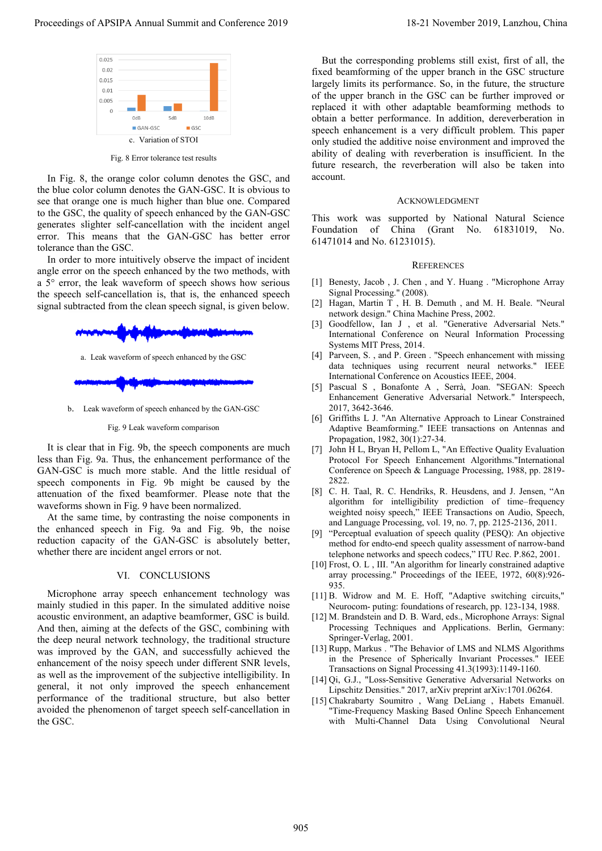

Fig. 8 Error tolerance test results

In Fig. 8, the orange color column denotes the GSC, and the blue color column denotes the GAN-GSC. It is obvious to see that orange one is much higher than blue one. Compared to the GSC, the quality of speech enhanced by the GAN-GSC generates slighter self-cancellation with the incident angel error. This means that the GAN-GSC has better error tolerance than the GSC.

In order to more intuitively observe the impact of incident angle error on the speech enhanced by the two methods, with a 5°error, the leak waveform of speech shows how serious the speech self-cancellation is, that is, the enhanced speech signal subtracted from the clean speech signal, is given below.



b. Leak waveform of speech enhanced by the GAN-GSC

Fig. 9 Leak waveform comparison

It is clear that in Fig. 9b, the speech components are much less than Fig. 9a. Thus, the enhancement performance of the GAN-GSC is much more stable. And the little residual of speech components in Fig. 9b might be caused by the attenuation of the fixed beamformer. Please note that the waveforms shown in Fig. 9 have been normalized.

At the same time, by contrasting the noise components in the enhanced speech in Fig. 9a and Fig. 9b, the noise reduction capacity of the GAN-GSC is absolutely better, whether there are incident angel errors or not.

#### VI. CONCLUSIONS

Microphone array speech enhancement technology was mainly studied in this paper. In the simulated additive noise acoustic environment, an adaptive beamformer, GSC is build. And then, aiming at the defects of the GSC, combining with the deep neural network technology, the traditional structure was improved by the GAN, and successfully achieved the enhancement of the noisy speech under different SNR levels, as well as the improvement of the subjective intelligibility. In general, it not only improved the speech enhancement performance of the traditional structure, but also better avoided the phenomenon of target speech self-cancellation in the GSC. Proceedings of APSIPA Annual Summit and Conference 2019<br>
The figure conference 2019 1 and the conference 2019 and the conference 2019 and the conference 2019 and the conference 2019 and the conference 2019 and the confere

But the corresponding problems still exist, first of all, the fixed beamforming of the upper branch in the GSC structure largely limits its performance. So, in the future, the structure of the upper branch in the GSC can be further improved or replaced it with other adaptable beamforming methods to obtain a better performance. In addition, dereverberation in speech enhancement is a very difficult problem. This paper only studied the additive noise environment and improved the ability of dealing with reverberation is insufficient. In the future research, the reverberation will also be taken into account.

#### ACKNOWLEDGMENT

This work was supported by National Natural Science Foundation of China (Grant No. 61831019, No. 61471014 and No. 61231015).

#### **REFERENCES**

- [1] Benesty, Jacob , J. Chen , and Y. Huang . "Microphone Array Signal Processing." (2008).
- [2] Hagan, Martin T , H. B. Demuth , and M. H. Beale. "Neural network design." China Machine Press, 2002.
- [3] Goodfellow, Ian J , et al. "Generative Adversarial Nets." International Conference on Neural Information Processing Systems MIT Press, 2014.
- [4] Parveen, S. , and P. Green . "Speech enhancement with missing data techniques using recurrent neural networks." IEEE International Conference on Acoustics IEEE, 2004.
- [5] Pascual S , Bonafonte A , Serrà, Joan. "SEGAN: Speech Enhancement Generative Adversarial Network." Interspeech, 2017, 3642-3646.
- [6] Griffiths L J. "An Alternative Approach to Linear Constrained Adaptive Beamforming." IEEE transactions on Antennas and Propagation, 1982, 30(1):27-34.
- [7] John H L, Bryan H, Pellom L, "An Effective Quality Evaluation Protocol For Speech Enhancement Algorithms."International Conference on Speech & Language Processing, 1988, pp. 2819- 2822.
- [8] C. H. Taal, R. C. Hendriks, R. Heusdens, and J. Jensen, "An algorithm for intelligibility prediction of time–frequency weighted noisy speech," IEEE Transactions on Audio, Speech, and Language Processing, vol. 19, no. 7, pp. 2125-2136, 2011.
- [9] "Perceptual evaluation of speech quality (PESQ): An objective method for endto-end speech quality assessment of narrow-band telephone networks and speech codecs," ITU Rec. P.862, 2001.
- [10] Frost, O. L, III. "An algorithm for linearly constrained adaptive array processing." Proceedings of the IEEE, 1972, 60(8):926- 935.
- [11] B. Widrow and M. E. Hoff, "Adaptive switching circuits," Neurocom- puting: foundations of research, pp. 123-134, 1988.
- [12] M. Brandstein and D. B. Ward, eds., Microphone Arrays: Signal Processing Techniques and Applications. Berlin, Germany: Springer-Verlag, 2001.
- [13] Rupp, Markus . "The Behavior of LMS and NLMS Algorithms in the Presence of Spherically Invariant Processes." IEEE Transactions on Signal Processing 41.3(1993):1149-1160.
- [14] Qi, G.J., "Loss-Sensitive Generative Adversarial Networks on Lipschitz Densities." 2017, arXiv preprint arXiv:1701.06264.
- [15] Chakrabarty Soumitro , Wang DeLiang , Habets Emanuël. "Time-Frequency Masking Based Online Speech Enhancement with Multi-Channel Data Using Convolutional Neural